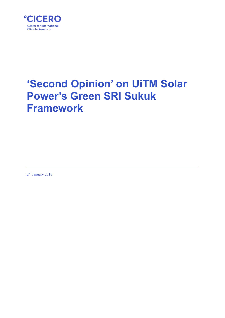

# **'Second Opinion' on UiTM Solar Power's Green SRI Sukuk Framework**

2<sup>nd</sup> January 2018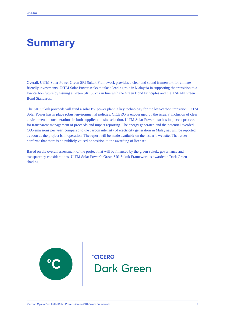.

# **Summary**

Overall, UiTM Solar Power Green SRI Sukuk Framework provides a clear and sound framework for climatefriendly investments. UiTM Solar Power seeks to take a leading role in Malaysia in supporting the transition to a low carbon future by issuing a Green SRI Sukuk in line with the Green Bond Principles and the ASEAN Green Bond Standards.

The SRI Sukuk proceeds will fund a solar PV power plant, a key technology for the low-carbon transition. UiTM Solar Power has in place robust environmental policies. CICERO is encouraged by the issuers' inclusion of clear environmental considerations in both supplier and site selection. UiTM Solar Power also has in place a process for transparent management of proceeds and impact reporting. The energy generated and the potential avoided CO2-emissions per year, compared to the carbon intensity of electricity generation in Malaysia, will be reported as soon as the project is in operation. The report will be made available on the issuer's website. The issuer confirms that there is no publicly voiced opposition to the awarding of licenses.

Based on the overall assessment of the project that will be financed by the green sukuk, governance and transparency considerations, UiTM Solar Power's Green SRI Sukuk Framework is awarded a Dark Green shading.



**CICERO Dark Green**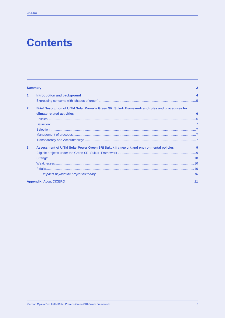# **Contents**

| <b>Summary Example 2008 Contract Contract Contract Contract Contract Contract Contract Contract Contract Contract Contract Contract Contract Contract Contract Contract Contract Contract Contract Contract Contract Contrac</b> |                                                                                                     |       |
|----------------------------------------------------------------------------------------------------------------------------------------------------------------------------------------------------------------------------------|-----------------------------------------------------------------------------------------------------|-------|
| 1                                                                                                                                                                                                                                |                                                                                                     |       |
|                                                                                                                                                                                                                                  |                                                                                                     |       |
| $\overline{2}$                                                                                                                                                                                                                   | Brief Description of UiTM Solar Power's Green SRI Sukuk Framework and rules and procedures for      |       |
|                                                                                                                                                                                                                                  |                                                                                                     |       |
|                                                                                                                                                                                                                                  |                                                                                                     |       |
|                                                                                                                                                                                                                                  |                                                                                                     |       |
|                                                                                                                                                                                                                                  |                                                                                                     |       |
|                                                                                                                                                                                                                                  |                                                                                                     |       |
|                                                                                                                                                                                                                                  |                                                                                                     |       |
| 3                                                                                                                                                                                                                                | Assessment of UiTM Solar Power Green SRI Sukuk framework and environmental policies _____________ 9 |       |
|                                                                                                                                                                                                                                  |                                                                                                     |       |
|                                                                                                                                                                                                                                  |                                                                                                     |       |
|                                                                                                                                                                                                                                  |                                                                                                     |       |
|                                                                                                                                                                                                                                  |                                                                                                     |       |
|                                                                                                                                                                                                                                  |                                                                                                     |       |
|                                                                                                                                                                                                                                  | <b>Appendix:</b> About CICERO <b>Accord 2008 12:00 Appendix:</b> About CICERO                       | $-11$ |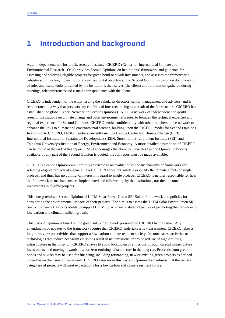### **1 Introduction and background**

As an independent, not-for-profit, research institute, CICERO (Center for International Climate and Environmental Research - Oslo) provides Second Opinions on institutions' framework and guidance for assessing and selecting eligible projects for green bond or sukuk investments, and assesses the framework's robustness in meeting the institutions' environmental objectives. The Second Opinion is based on documentation of rules and frameworks provided by the institutions themselves (the client) and information gathered during meetings, teleconferences and e-mail correspondence with the client.

CICERO is independent of the entity issuing the sukuk, its directors, senior management and advisers, and is remunerated in a way that prevents any conflicts of interests arising as a result of the fee structure. CICERO has established the global Expert Network on Second Opinions (ENSO), a network of independent non-profit research institutions on climate change and other environmental issues, to broaden the technical expertise and regional experience for Second Opinions. CICERO works confidentially with other members in the network to enhance the links to climate and environmental science, building upon the CICERO model for Second Opinions. In addition to CICERO, ENSO members currently include Basque Center for Climate Change (BC3), International Institute for Sustainable Development (IISD), Stockholm Environment Institute (SEI), and Tsinghua University's Institute of Energy, Environment and Economy. A more detailed description of CICERO can be found at the end of this report. ENSO encourages the client to make this Second Opinion publically available. If any part of the Second Opinion is quoted, the full report must be made available.

CICERO's Second Opinions are normally restricted to an evaluation of the mechanisms or framework for selecting eligible projects at a general level. CICERO does not validate or certify the climate effects of single projects, and thus, has no conflict of interest in regard to single projects. CICERO is neither responsible for how the framework or mechanisms are implemented and followed up by the institutions, nor the outcome of investments in eligible projects.

This note provides a Second Opinion of UiTM Solar Power Green SRI Sukuk Framework and policies for considering the environmental impacts of their projects. The aim is to assess the UiTM Solar Power Green SRI Sukuk Framework as to its ability to support UiTM Solar Power`s stated objective of promoting the transition to low-carbon and climate resilient growth.

This Second Opinion is based on the green sukuk framework presented to CICERO by the issuer. Any amendments or updates to the framework require that CICERO undertake a new assessment. CICERO takes a long-term view on activities that support a low-carbon climate resilient society. In some cases, activities or technologies that reduce near-term emissions result in net emissions or prolonged use of high-emitting infrastructure in the long-run. CICERO strives to avoid locking-in of emissions through careful infrastructure investments, and moving towards low- or zero-emitting infrastructure in the long run. Proceeds from green bonds and sukuks may be used for financing, including refinancing, new or existing green projects as defined under the mechanisms or framework. CICERO assesses in this Second Opinion the likeliness that the issuer's categories of projects will meet expectations for a low carbon and climate resilient future.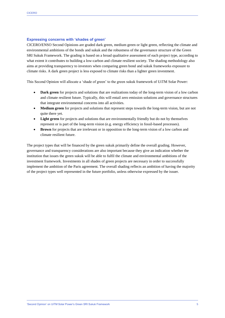#### **Expressing concerns with 'shades of green'**

CICERO/ENSO Second Opinions are graded dark green, medium green or light green, reflecting the climate and environmental ambitions of the bonds and sukuk and the robustness of the governance structure of the Green SRI Sukuk Framework. The grading is based on a broad qualitative assessment of each project type, according to what extent it contributes to building a low-carbon and climate resilient society. The shading methodology also aims at providing transparency to investors when comparing green bond and sukuk frameworks exposure to climate risks. A dark green project is less exposed to climate risks than a lighter green investment.

This Second Opinion will allocate a 'shade of green' to the green sukuk framework of UiTM Solar Power:

- **Dark green** for projects and solutions that are realizations today of the long-term vision of a low carbon and climate resilient future. Typically, this will entail zero emission solutions and governance structures that integrate environmental concerns into all activities.
- **Medium green** for projects and solutions that represent steps towards the long-term vision, but are not quite there yet.
- Light green for projects and solutions that are environmentally friendly but do not by themselves represent or is part of the long-term vision (e.g. energy efficiency in fossil-based processes).
- **Brown** for projects that are irrelevant or in opposition to the long-term vision of a low carbon and climate resilient future.

The project types that will be financed by the green sukuk primarily define the overall grading. However, governance and transparency considerations are also important because they give an indication whether the institution that issues the green sukuk will be able to fulfil the climate and environmental ambitions of the investment framework. Investments in all shades of green projects are necessary in order to successfully implement the ambition of the Paris agreement. The overall shading reflects an ambition of having the majority of the project types well represented in the future portfolio, unless otherwise expressed by the issuer.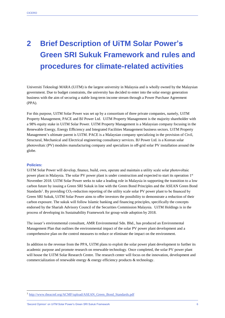## **2 Brief Description of UiTM Solar Power's Green SRI Sukuk Framework and rules and procedures for climate-related activities**

Universiti Teknologi MARA (UiTM) is the largest university in Malaysia and is wholly owned by the Malaysian government. Due to budget constraints, the university has decided to enter into the solar energy generation business with the aim of securing a stable long-term income stream through a Power Purchase Agreement (PPA).

For this purpose, UiTM Solar Power was set up by a consortium of three private companies, namely, UiTM Property Management, PACE and BJ Power Ltd. UiTM Property Management is the majority shareholder with a 98% equity stake in UiTM Solar Power. UiTM Property Management is a Malaysian company focusing in the Renewable Energy, Energy Efficiency and Integrated Facilities Management business sectors. UiTM Property Management's ultimate parent is UiTM. PACE is a Malaysian company specializing in the provision of Civil, Structural, Mechanical and Electrical engineering consultancy services. BJ Power Ltd. is a Korean solar photovoltaic (PV) modules manufacturing company and specializes in off-grid solar PV installation around the globe.

#### **Policies:**

 $\overline{\phantom{a}}$ 

UiTM Solar Power will develop, finance, build, own, operate and maintain a utility scale solar photovoltaic power plant in Malaysia. The solar PV power plant is under construction and expected to start its operation 1<sup>st</sup> November 2018. UiTM Solar Power seeks to take a leading role in Malaysia in supporting the transition to a low carbon future by issuing a Green SRI Sukuk in line with the Green Bond Principles and the ASEAN Green Bond Standards<sup>1</sup>. By providing CO<sub>2</sub>-reduction reporting of the utility scale solar PV power plant to be financed by Green SRI Sukuk, UiTM Solar Power aims to offer investors the possibility to demonstrate a reduction of their carbon exposure. The sukuk will follow Islamic banking and financing principles, specifically the concepts endorsed by the Shariah Advisory Council of the Securities Commission Malaysia. UiTM Holdings is in the process of developing its Sustainability Framework for group-wide adoption by 2018.

The issuer's environmental consultant, AMR Environmental Sdn. Bhd., has produced an Environmental Management Plan that outlines the environmental impact of the solar PV power plant development and a comprehensive plan on the control measures to reduce or eliminate the impact on the environment.

In addition to the revenue from the PPA, UiTM plans to exploit the solar power plant development to further its academic purpose and promote research on renewable technology. Once completed, the solar PV power plant will house the UiTM Solar Research Centre. The research center will focus on the innovation, development and commercialization of renewable energy & energy efficiency products & technology.

'Second Opinion' on UiTM Solar Power's Green SRI Sukuk Framework 6

<sup>&</sup>lt;sup>1</sup> [http://www.theacmf.org/ACMF/upload/ASEAN\\_Green\\_Bond\\_Standards.pdf](http://www.theacmf.org/ACMF/upload/ASEAN_Green_Bond_Standards.pdf)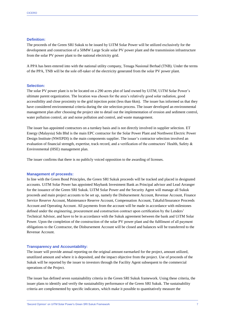#### **Definition:**

The proceeds of the Green SRI Sukuk to be issued by UiTM Solar Power will be utilized exclusively for the development and construction of a 50MW Large Scale solar PV power plant and the transmission infrastructure from the solar PV power plant to the national electricity grid.

A PPA has been entered into with the national utility company, Tenaga Nasional Berhad (TNB). Under the terms of the PPA, TNB will be the sole off-taker of the electricity generated from the solar PV power plant.

#### **Selection:**

The solar PV power plant is to be located on a 290 acres plot of land owned by UiTM, UiTM Solar Power's ultimate parent organization. The location was chosen for the area's relatively good solar radiation, good accessibility and close proximity to the grid injection point (less than 6km). The issuer has informed us that they have considered environmental criteria during the site selection process. The issuer developed an environmental management plan after choosing the project site to detail out the implementation of erosion and sediment control, water pollution control, air and noise pollution and control, and waste management.

The issuer has appointed contractors on a turnkey basis and is not directly involved in supplier selection. ET Energy (Malaysia) Sdn Bhd is the main EPC contractor for the Solar Power Plant and Northwest Electric Power Design Institute (NWEPDI) is the main components supplier. The issuer's contractor selection involved an evaluation of financial strength, expertise, track record, and a verification of the contractors' Health, Safety & Environmental (HSE) management plan.

The issuer confirms that there is no publicly voiced opposition to the awarding of licenses.

#### **Management of proceeds:**

In line with the Green Bond Principles, the Green SRI Sukuk proceeds will be tracked and placed in designated accounts. UiTM Solar Power has appointed Maybank Investment Bank as Principal advisor and Lead Arranger for the issuance of the Green SRI Sukuk. UiTM Solar Power and the Security Agent will manage all Sukuk proceeds and main project accounts to be set up, namely the Disbursement Account, Revenue Account, Finance Service Reserve Account, Maintenance Reserve Account, Compensation Account, Takaful/Insurance Proceeds Account and Operating Account. All payments from the account will be made in accordance with milestones defined under the engineering, procurement and construction contract upon certification by the Lenders' Technical Advisor, and have to be in accordance with the Sukuk agreement between the bank and UiTM Solar Power. Upon the completion of the construction of the solar PV power plant and the fulfilment of all payment obligations to the Ccontractor, the Disbursement Account will be closed and balances will be transferred to the Revenue Account.

#### **Transparency and Accountability:**

The issuer will provide annual reporting on the original amount earmarked for the project, amount utilized, unutilized amount and where it is deposited, and the impact objective from the project. Use of proceeds of the Sukuk will be reported by the issuer to investors through the Facility Agent subsequent to the commercial operations of the Project.

The issuer has defined seven sustainability criteria in the Green SRI Sukuk framework. Using these criteria, the issuer plans to identify and verify the sustainability performance of the Green SRI Sukuk. The sustainability criteria are complemented by specific indicators, which make it possible to quantitatively measure the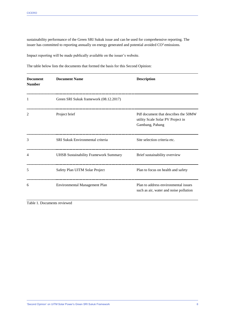sustainability performance of the Green SRI Sukuk issue and can be used for comprehensive reporting. The issuer has committed to reporting annually on energy generated and potential avoided CO<sup>2</sup> emissions.

Impact reporting will be made publically available on the issuer's website.

The table below lists the documents that formed the basis for this Second Opinion:

| <b>Document</b><br><b>Number</b> | <b>Document Name</b>                         | <b>Description</b>                                                                           |
|----------------------------------|----------------------------------------------|----------------------------------------------------------------------------------------------|
| 1                                | Green SRI Sukuk framework (08.12.2017)       |                                                                                              |
| 2                                | Project brief                                | Pdf document that describes the 50MW<br>utility Scale Solar PV Project in<br>Gambang, Pahang |
| 3                                | <b>SRI Sukuk Environmental criteria</b>      | Site selection criteria etc.                                                                 |
| 4                                | <b>UHSB Sustainability Framework Summary</b> | Brief sustainability overview                                                                |
| 5                                | Safety Plan UITM Solar Project               | Plan to focus on health and safety                                                           |
| 6                                | <b>Environmental Management Plan</b>         | Plan to address environmental issues<br>such as air, water and noise pollution               |

Table 1. Documents reviewed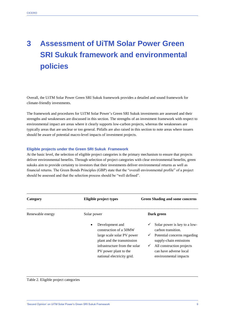## **3 Assessment of UiTM Solar Power Green SRI Sukuk framework and environmental policies**

Overall, the UiTM Solar Power Green SRI Sukuk framework provides a detailed and sound framework for climate-friendly investments.

The framework and procedures for UiTM Solar Power's Green SRI Sukuk investments are assessed and their strengths and weaknesses are discussed in this section. The strengths of an investment framework with respect to environmental impact are areas where it clearly supports low-carbon projects, whereas the weaknesses are typically areas that are unclear or too general. Pitfalls are also raised in this section to note areas where issuers should be aware of potential macro-level impacts of investment projects.

#### **Eligible projects under the Green SRI Sukuk Framework**

At the basic level, the selection of eligible project categories is the primary mechanism to ensure that projects deliver environmental benefits. Through selection of project categories with clear environmental benefits, green sukuks aim to provide certainty to investors that their investments deliver environmental returns as well as financial returns. The Green Bonds Principles (GBP) state that the "overall environmental profile" of a project should be assessed and that the selection process should be "well defined".

| Category         | Eligible project types                                                                                                                                                                             | <b>Green Shading and some concerns</b>                                                                                                                                                                            |
|------------------|----------------------------------------------------------------------------------------------------------------------------------------------------------------------------------------------------|-------------------------------------------------------------------------------------------------------------------------------------------------------------------------------------------------------------------|
| Renewable energy | Solar power                                                                                                                                                                                        | Dark green                                                                                                                                                                                                        |
|                  | Development and<br>٠<br>construction of a 50MW<br>large scale solar PV power<br>plant and the transmission<br>infrastructure from the solar<br>PV power plant to the<br>national electricity grid. | Solar power is key to a low-<br>carbon transition.<br>Potential concerns regarding<br>$\checkmark$<br>supply-chain emissions<br>All construction projects<br>✓<br>can have adverse local<br>environmental impacts |

Table 2. Eligible project categories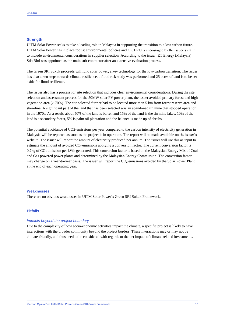#### **Strength**

UiTM Solar Power seeks to take a leading role in Malaysia in supporting the transition to a low carbon future. UiTM Solar Power has in place robust environmental policies and CICERO is encouraged by the issuer's claim to include environmental considerations in supplier selection. According to the issuer, ET Energy (Malaysia) Sdn Bhd was appointed as the main sub-contractor after an extensive evaluation process.

The Green SRI Sukuk proceeds will fund solar power, a key technology for the low-carbon transition. The issuer has also taken steps towards climate resilience, a flood risk study was performed and 25 acres of land is to be set aside for flood resilience.

The issuer also has a process for site selection that includes clear environmental considerations. During the site selection and assessment process for the 50MW solar PV power plant, the issuer avoided primary forest and high vegetation area (> 70%). The site selected further had to be located more than 5 km from forest reserve area and shoreline. A significant part of the land that has been selected was an abandoned tin mine that stopped operation in the 1970s. As a result, about 50% of the land is barren and 15% of the land is the tin mine lakes. 10% of the land is a secondary forest, 5% is palm oil plantation and the balance is made up of shrubs.

The potential avoidance of CO2-emissions per year compared to the carbon intensity of electricity generation in Malaysia will be reported as soon as the project is in operation. The report will be made available on the issuer's website. The issuer will report the amount of electricity produced per annum. The issuer will use this as input to estimate the amount of avoided CO<sub>2</sub> emissions applying a conversion factor. The current conversion factor is 0.7kg of CO<sup>2</sup> emission per kWh generated. This conversion factor is based on the Malaysian Energy Mix of Coal and Gas powered power plants and determined by the Malaysian Energy Commission. The conversion factor may change on a year-to-year basis. The issuer will report the  $CO<sub>2</sub>$  emissions avoided by the Solar Power Plant at the end of each operating year.

#### **Weaknesses**

There are no obvious weaknesses in UiTM Solar Power's Green SRI Sukuk Framework.

#### **Pitfalls**

#### *Impacts beyond the project boundary*

Due to the complexity of how socio-economic activities impact the climate, a specific project is likely to have interactions with the broader community beyond the project borders. These interactions may or may not be climate-friendly, and thus need to be considered with regards to the net impact of climate-related investments.